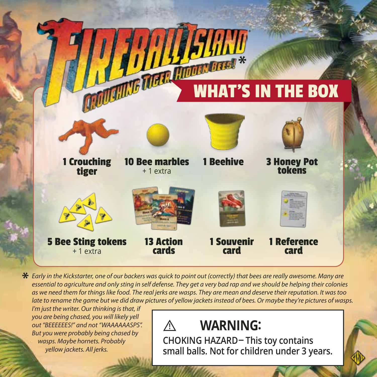

**\*** *Early in the Kickstarter, one of our backers was quick to point out (correctly) that bees are really awesome. Many are essential to agriculture and only sting in self defense. They get a very bad rap and we should be helping their colonies as we need them for things like food. The real jerks are wasps. They are mean and deserve their reputation. It was too late to rename the game but we did draw pictures of yellow jackets instead of bees. Or maybe they're pictures of wasps.* 

**!**

*I'm just the writer. Our thinking is that, if you are being chased, you will likely yell out "BEEEEEES!" and not "WAAAAAASPS". But you were probably being chased by wasps. Maybe hornets. Probably yellow jackets. All jerks.*

# **WARNING:**

**CHOKING HAZARD-This toy contains small balls. Not for children under 3 years.**